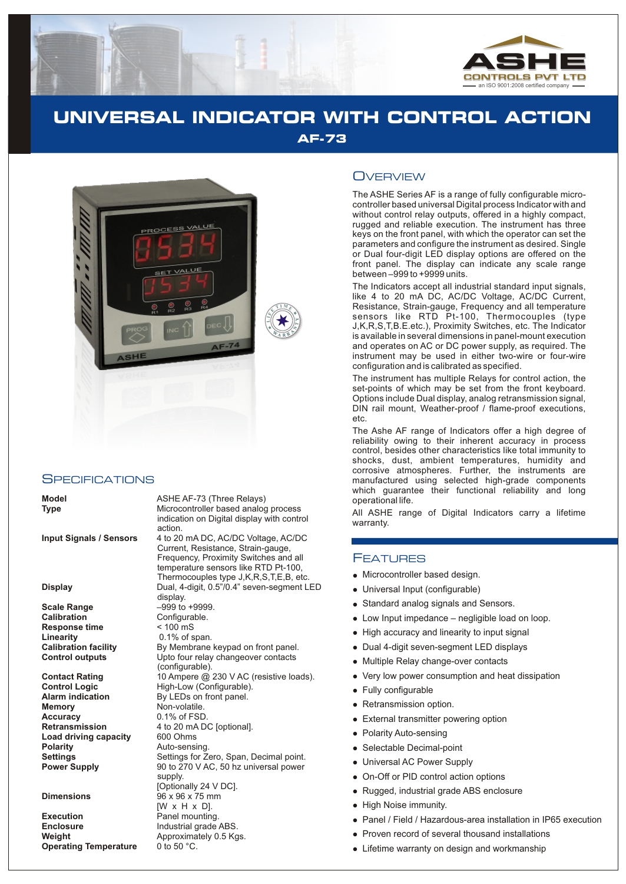

## **UNIVERSAL INDICATOR WITH CONTROL ACTION AF-73**



#### **SPECIFICATIONS**

**Scale Range**  $-999$  to +9999.<br> **Calibration** Configurable. **Response time**  $\leftarrow$  100 mS<br> **Linearity** 0.1% of s

**Memory** Non-volatile.<br> **Accuracy** 0.1% of FSD **Accuracy** 0.1% of FSD.<br>**Retransmission** 4 to 20 mA D **Load driving capacity**<br>Polarity

**Execution**<br> **Enclosure**<br> **Enclosure**<br> **Enclosure**<br> **Enclosure Enclosure** Industrial grade ABS.<br> **Weight Internal Approximately 0.5 Kg Operating Temperature** 

**Model ASHE AF-73 (Three Relays) Type** Microcontroller based analog process indication on Digital display with control action.

**Input Signals / Sensors** 4 to 20 mA DC, AC/DC Voltage, AC/DC Current, Resistance, Strain-gauge, Frequency, Proximity Switches and all temperature sensors like RTD Pt-100, Thermocouples type J,K,R,S,T,E,B, etc. **Display** Dual, 4-digit, 0.5"/0.4" seven-segment LED display. Configurable. 0.1% of span. **Calibration facility** By Membrane keypad on front panel.<br> **Control outputs** Upto four relay changeover contacts Upto four relay changeover contacts (configurable). **Contact Rating** 10 Ampere @ 230 V AC (resistive loads).<br> **Control Logic** High-Low (Configurable). **Control Logic** High-Low (Configurable).<br> **Alarm indication** By LEDs on front panel. **Alarm indication** By LEDs on front panel.<br>**Memory Non-volatile.** 4 to 20 mA DC [optional].<br>600 Ohms **Polarity** Auto-sensing. **Settings** Settings for Zero, Span, Decimal point.<br> **Power Supply** 90 to 270 V AC, 50 hz universal power 90 to 270 V AC, 50 hz universal power supply. [Optionally 24 V DC]. **Dimensions** 96 x 96 x 75 mm [W x H x D]. Approximately 0.5 Kgs.<br>0 to 50 °C.

### **OVERVIEW**

The ASHE Series AF is a range of fully configurable microcontroller based universal Digital process Indicator with and without control relay outputs, offered in a highly compact, rugged and reliable execution. The instrument has three keys on the front panel, with which the operator can set the parameters and configure the instrument as desired. Single or Dual four-digit LED display options are offered on the front panel. The display can indicate any scale range between –999 to +9999 units.

The Indicators accept all industrial standard input signals, like 4 to 20 mA DC, AC/DC Voltage, AC/DC Current, Resistance, Strain-gauge, Frequency and all temperature sensors like RTD Pt-100, Thermocouples (type J,K,R,S,T,B.E.etc.), Proximity Switches, etc. The Indicator is available in several dimensions in panel-mount execution and operates on AC or DC power supply, as required. The instrument may be used in either two-wire or four-wire configuration and is calibrated as specified.

The instrument has multiple Relays for control action, the set-points of which may be set from the front keyboard. Options include Dual display, analog retransmission signal, DIN rail mount, Weather-proof / flame-proof executions, etc.

The Ashe AF range of Indicators offer a high degree of reliability owing to their inherent accuracy in process control, besides other characteristics like total immunity to shocks, dust, ambient temperatures, humidity and corrosive atmospheres. Further, the instruments are manufactured using selected high-grade components which guarantee their functional reliability and long operational life.

All ASHE range of Digital Indicators carry a lifetime warranty.

#### **FEATURES**

- Microcontroller based design.
- Universal Input (configurable)
- Standard analog signals and Sensors.
- Low Input impedance negligible load on loop.
- High accuracy and linearity to input signal
- Dual 4-digit seven-segment LED displays
- Multiple Relay change-over contacts
- Very low power consumption and heat dissipation
- Fully configurable
- Retransmission option.
- External transmitter powering option
- Polarity Auto-sensing
- Selectable Decimal-point
- Universal AC Power Supply
- On-Off or PID control action options
- Rugged, industrial grade ABS enclosure
- High Noise immunity.
- Micro<br>• Unive<br>• Stand<br>• Low<br>• High<br>• Dual<br>• Wery<br>• Fully<br>• Retra<br>• Dolar<br>• Duive<br>• Duive<br>• Duive<br>• Duive<br>• Duive<br>• Duive<br>• Duive<br>• Duive<br>• Duive<br>• Puige<br>• High<br>• Puige<br>• Puige<br>• Puige<br>• Puige<br>• Puige<br>• Puige<br>• Puige<br>• P Panel / Field / Hazardous-area installation in IP65 execution
- Proven record of several thousand installations
- Lifetime warranty on design and workmanship